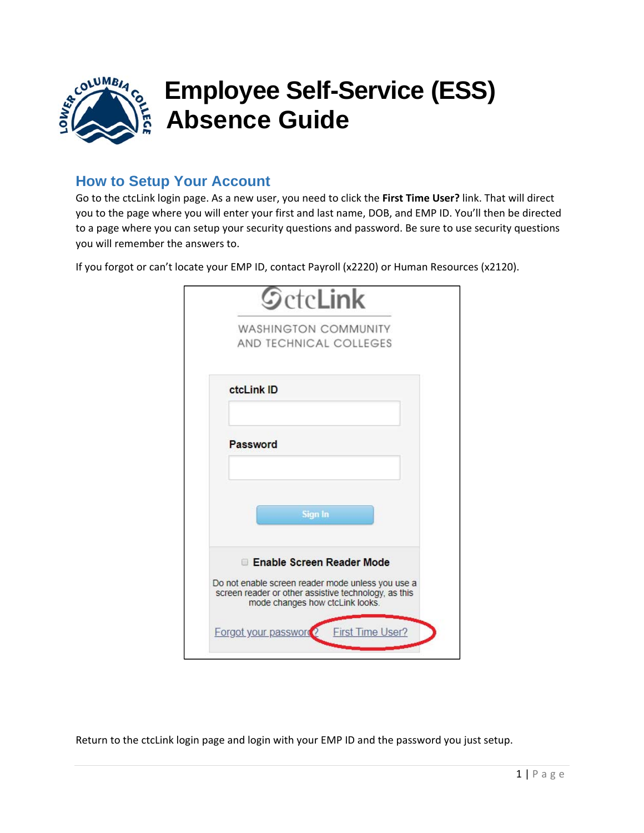

## **How to Setup Your Account**

Go to the ctcLink login page. As a new user, you need to click the **First Time User?** link. That will direct you to the page where you will enter your first and last name, DOB, and EMP ID. You'll then be directed to a page where you can setup your security questions and password. Be sure to use security questions you will remember the answers to.

If you forgot or can't locate your EMP ID, contact Payroll (x2220) or Human Resources (x2120).

| <b>WASHINGTON COMMUNITY</b>                                                                                                                  |
|----------------------------------------------------------------------------------------------------------------------------------------------|
| AND TECHNICAL COLLEGES                                                                                                                       |
| ctcLink ID                                                                                                                                   |
| Password                                                                                                                                     |
|                                                                                                                                              |
| Sign In                                                                                                                                      |
|                                                                                                                                              |
| Enable Screen Reader Mode                                                                                                                    |
| Do not enable screen reader mode unless you use a<br>screen reader or other assistive technology, as this<br>mode changes how ctcLink looks. |

Return to the ctcLink login page and login with your EMP ID and the password you just setup.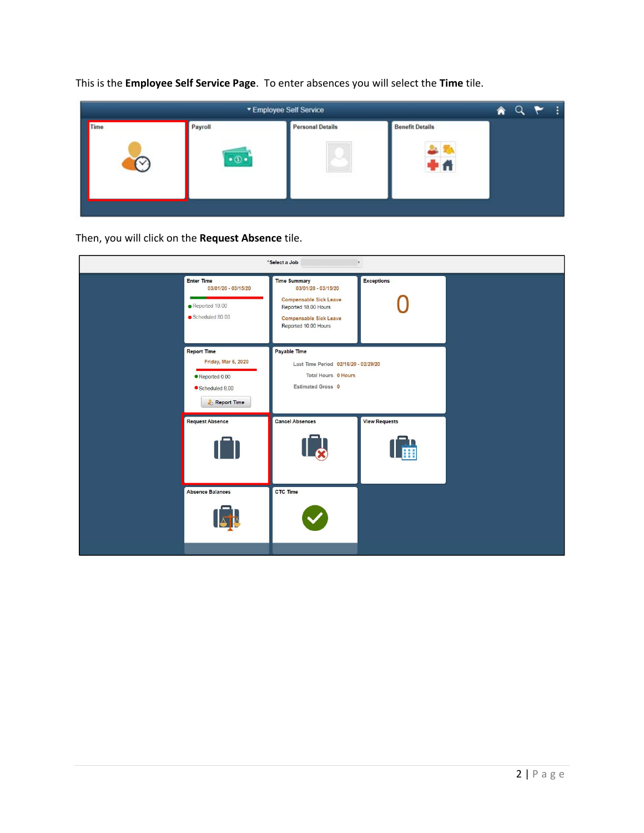

This is the **Employee Self Service Page**. To enter absences you will select the **Time** tile.

Then, you will click on the **Request Absence** tile.

|                                                                                             | *Select a Job                                                                                                                                                | v.                        |  |
|---------------------------------------------------------------------------------------------|--------------------------------------------------------------------------------------------------------------------------------------------------------------|---------------------------|--|
| <b>Enter Time</b><br>03/01/20 - 03/15/20<br>$\bullet$ Reported 18.00<br>Scheduled 80.00     | <b>Time Summary</b><br>03/01/20 - 03/15/20<br><b>Compensable Sick Leave</b><br>Reported 18.00 Hours<br><b>Compensable Sick Leave</b><br>Reported 10.00 Hours | <b>Exceptions</b>         |  |
| <b>Report Time</b><br>Friday, Mar 6, 2020<br>Reported 0.00<br>Scheduled 8.00<br>Report Time | Payable Time<br>Last Time Period 02/16/20 - 02/29/20<br>Total Hours 0 Hours<br>Estimated Gross 0                                                             |                           |  |
| <b>Request Absence</b>                                                                      | <b>Cancel Absences</b><br>14                                                                                                                                 | <b>View Requests</b><br>圃 |  |
| <b>Absence Balances</b>                                                                     | CTC Time                                                                                                                                                     |                           |  |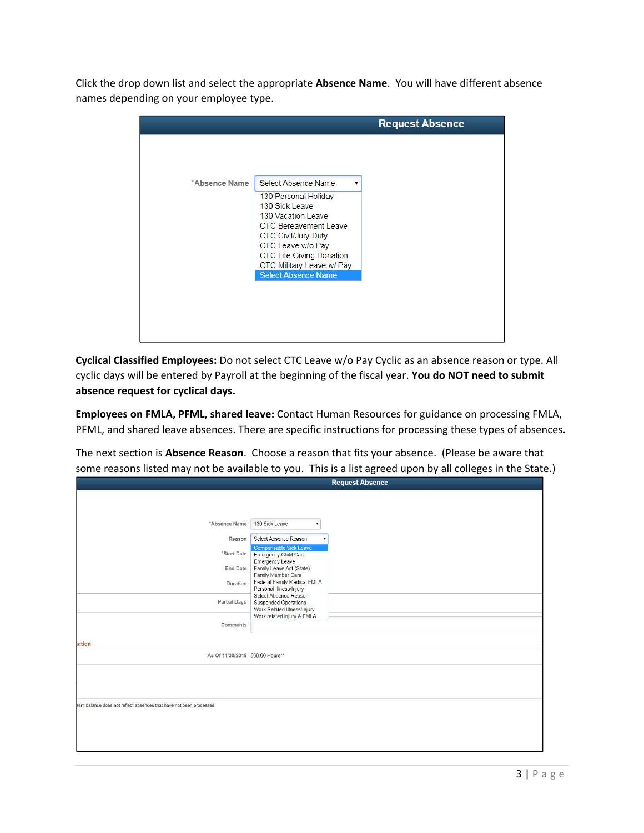Click the drop down list and select the appropriate **Absence Name**. You will have different absence names depending on your employee type.

|               |                                                      | <b>Request Absence</b> |
|---------------|------------------------------------------------------|------------------------|
|               |                                                      |                        |
|               |                                                      |                        |
| *Absence Name | Select Absence Name                                  |                        |
|               | 130 Personal Holiday                                 |                        |
|               | 130 Sick Leave<br>130 Vacation Leave                 |                        |
|               | <b>CTC Bereavement Leave</b>                         |                        |
|               | <b>CTC Civil/Jury Duty</b>                           |                        |
|               | CTC Leave w/o Pay<br><b>CTC Life Giving Donation</b> |                        |
|               | CTC Military Leave w/ Pay                            |                        |
|               | <b>Select Absence Name</b>                           |                        |

**Cyclical Classified Employees:** Do not select CTC Leave w/o Pay Cyclic as an absence reason or type. All cyclic days will be entered by Payroll at the beginning of the fiscal year. **You do NOT need to submit absence request for cyclical days.**

**Employees on FMLA, PFML, shared leave:** Contact Human Resources for guidance on processing FMLA, PFML, and shared leave absences. There are specific instructions for processing these types of absences.

The next section is **Absence Reason**. Choose a reason that fits your absence. (Please be aware that some reasons listed may not be available to you. This is a list agreed upon by all colleges in the State.)

|                                                                      | <b>Request Absence</b>                                                                 |
|----------------------------------------------------------------------|----------------------------------------------------------------------------------------|
|                                                                      |                                                                                        |
|                                                                      |                                                                                        |
| *Absence Name                                                        | 130 Sick Leave<br>▼                                                                    |
| Reason                                                               | Select Absence Reason                                                                  |
| *Start Date                                                          | <b>Compensable Sick Leave</b><br><b>Emergency Child Care</b><br><b>Emergency Leave</b> |
| End Date                                                             | Family Leave Act (State)                                                               |
| Duration                                                             | Family Member Care<br>Federal Family Medical FMLA<br>Personal Illness/Injury           |
| Partial Days                                                         | Select Absence Reason<br><b>Suspended Operations</b><br>Work Related Illness/Injury    |
| Comments                                                             | Work related injury & FMLA                                                             |
|                                                                      |                                                                                        |
| ation                                                                |                                                                                        |
| As Of 11/30/2019 560.00 Hours**                                      |                                                                                        |
|                                                                      |                                                                                        |
|                                                                      |                                                                                        |
|                                                                      |                                                                                        |
| rent balance does not reflect absences that have not been processed. |                                                                                        |
|                                                                      |                                                                                        |
|                                                                      |                                                                                        |
|                                                                      |                                                                                        |
|                                                                      |                                                                                        |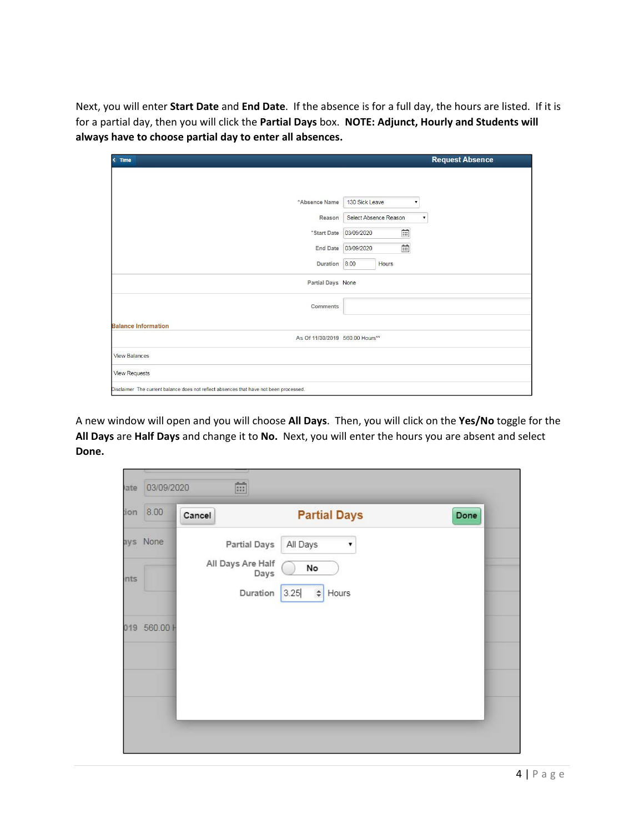Next, you will enter **Start Date** and **End Date**. If the absence is for a full day, the hours are listed. If it is for a partial day, then you will click the **Partial Days** box. **NOTE: Adjunct, Hourly and Students will always have to choose partial day to enter all absences.**

| $\longleftarrow$ Time                                                                  | <b>Request Absence</b>                      |
|----------------------------------------------------------------------------------------|---------------------------------------------|
|                                                                                        |                                             |
|                                                                                        |                                             |
| *Absence Name                                                                          | 130 Sick Leave<br>۳.                        |
| Reason                                                                                 | Select Absence Reason<br>$\pmb{\mathrm{v}}$ |
| "Start Date                                                                            | 曲<br>03/09/2020                             |
|                                                                                        | $\widehat{\boxdot}$<br>End Date 03/09/2020  |
| Duration 8.00                                                                          | <b>Hours</b>                                |
| Partial Days None                                                                      |                                             |
| Comments                                                                               |                                             |
|                                                                                        |                                             |
| <b>Balance Information</b>                                                             |                                             |
| As Of 11/30/2019 560.00 Hours**                                                        |                                             |
| <b>View Balances</b>                                                                   |                                             |
| <b>View Requests</b>                                                                   |                                             |
| Disclaimer The current balance does not reflect absences that have not been processed. |                                             |

A new window will open and you will choose **All Days**. Then, you will click on the **Yes/No** toggle for the All Days are Half Days and change it to No. Next, you will enter the hours you are absent and select **Done.**

| ate  | 03/09/2020   | $\overline{}$             |                         |      |
|------|--------------|---------------------------|-------------------------|------|
| noi: | 8.00         | Cancel                    | <b>Partial Days</b>     | Done |
|      | ays None     | <b>Partial Days</b>       | All Days<br>▼           |      |
| nts  |              | All Days Are Half<br>Days | No                      |      |
|      |              | Duration                  | 3.25<br>$\div$<br>Hours |      |
|      | 019 560.00 H |                           |                         |      |
|      |              |                           |                         |      |
|      |              |                           |                         |      |
|      |              |                           |                         |      |
|      |              |                           |                         |      |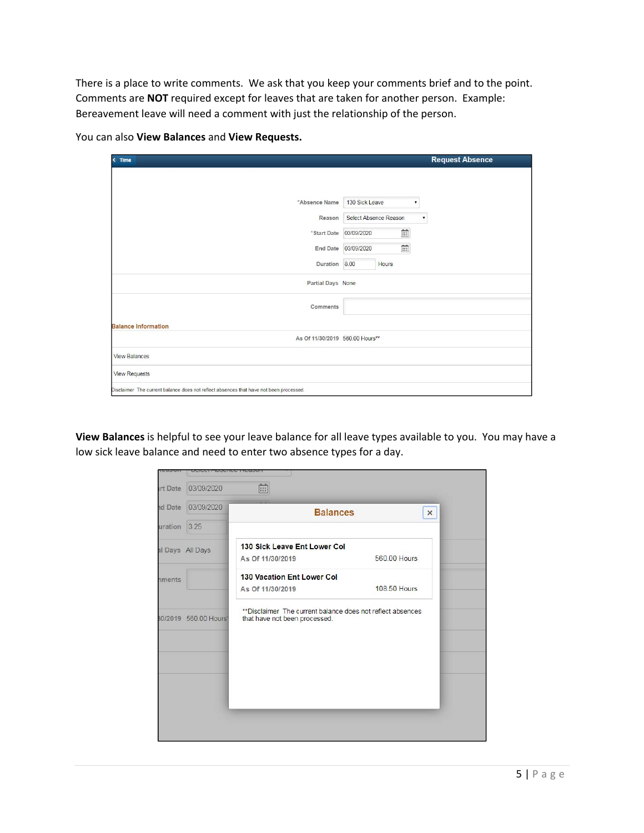There is a place to write comments. We ask that you keep your comments brief and to the point. Comments are **NOT** required except for leaves that are taken for another person. Example: Bereavement leave will need a comment with just the relationship of the person.

| $\leq$ Time                                                                            | <b>Request Absence</b>                      |
|----------------------------------------------------------------------------------------|---------------------------------------------|
|                                                                                        |                                             |
| *Absence Name                                                                          | 130 Sick Leave<br>▼                         |
| Reason                                                                                 | Select Absence Reason<br>$\pmb{\mathrm{v}}$ |
| *Start Date                                                                            | É<br>03/09/2020                             |
| <b>End Date</b>                                                                        | 曲<br>03/09/2020                             |
| Duration 8.00                                                                          | Hours                                       |
| Partial Days None                                                                      |                                             |
| Comments                                                                               |                                             |
| <b>Balance Information</b>                                                             |                                             |
| As Of 11/30/2019 560.00 Hours**                                                        |                                             |
| <b>View Balances</b>                                                                   |                                             |
| <b>View Requests</b>                                                                   |                                             |
| Disclaimer The current balance does not reflect absences that have not been processed. |                                             |

You can also **View Balances** and **View Requests.**

**View Balances** is helpful to see your leave balance for all leave types available to you. You may have a low sick leave balance and need to enter two absence types for a day.

| 菌<br>03/09/2020<br><b>Irt Date</b><br>03/09/2020<br><b>nd Date</b><br><b>Balances</b><br>3.25                        |   |
|----------------------------------------------------------------------------------------------------------------------|---|
|                                                                                                                      |   |
| uration                                                                                                              | × |
|                                                                                                                      |   |
| 130 Sick Leave Ent Lower Col<br>al Days All Days                                                                     |   |
| 560.00 Hours<br>As Of 11/30/2019                                                                                     |   |
| 130 Vacation Ent Lower Col<br><i><b>nments</b></i>                                                                   |   |
| <b>108.50 Hours</b><br>As Of 11/30/2019                                                                              |   |
| **Disclaimer The current balance does not reflect absences<br>80/2019 560.00 Hours'<br>that have not been processed. |   |
|                                                                                                                      |   |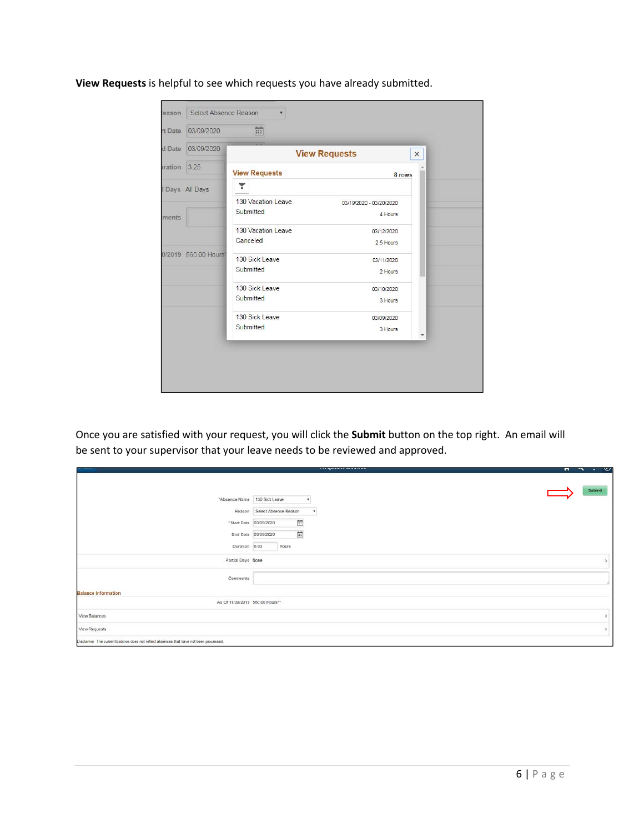**View Requests** is helpful to see which requests you have already submitted.

| rt Date               | 03/09/2020           | 面                               |                                    |          |
|-----------------------|----------------------|---------------------------------|------------------------------------|----------|
| d Date                | 03/09/2020           |                                 | <b>View Requests</b>               | $\times$ |
| <i><b>Iration</b></i> | 3.25                 | <b>View Requests</b>            | 8 rows                             |          |
|                       | I Days All Days      | ۲                               |                                    |          |
| ments.                |                      | 130 Vacation Leave<br>Submitted | 03/19/2020 - 03/20/2020<br>4 Hours |          |
|                       |                      | 130 Vacation Leave<br>Canceled  | 03/12/2020<br>2.5 Hours            |          |
|                       | 0/2019 560.00 Hours' | 130 Sick Leave<br>Submitted     | 03/11/2020<br>2 Hours              |          |
|                       |                      | 130 Sick Leave<br>Submitted     | 03/10/2020<br>3 Hours              |          |
|                       |                      | 130 Sick Leave<br>Submitted     | 03/09/2020<br>3 Hours              |          |

Once you are satisfied with your request, you will click the **Submit** button on the top right. An email will be sent to your supervisor that your leave needs to be reviewed and approved.

|                                                                                        | n sa Maria a a shekara a shekara               | $\cdots$ |
|----------------------------------------------------------------------------------------|------------------------------------------------|----------|
|                                                                                        |                                                | Submit   |
| "Absence Name 130 Sick Leave                                                           |                                                |          |
|                                                                                        | Reason Select Absence Reason<br>$\blacksquare$ |          |
| "Start Date                                                                            | $\Xi$<br>03/09/2020                            |          |
|                                                                                        | $\Xi$<br>End Date 03/09/2020                   |          |
| Duration                                                                               | 8.00<br>Hours                                  |          |
| Partial Days None                                                                      |                                                |          |
| Comments                                                                               |                                                |          |
| <b>Balance Information</b>                                                             |                                                |          |
| As Of 11/30/2019 560:00 Hours**                                                        |                                                |          |
| View Balances                                                                          |                                                |          |
| View Requests                                                                          |                                                |          |
| Disclaimer The current balance does not reflect absences that have not been processed. |                                                |          |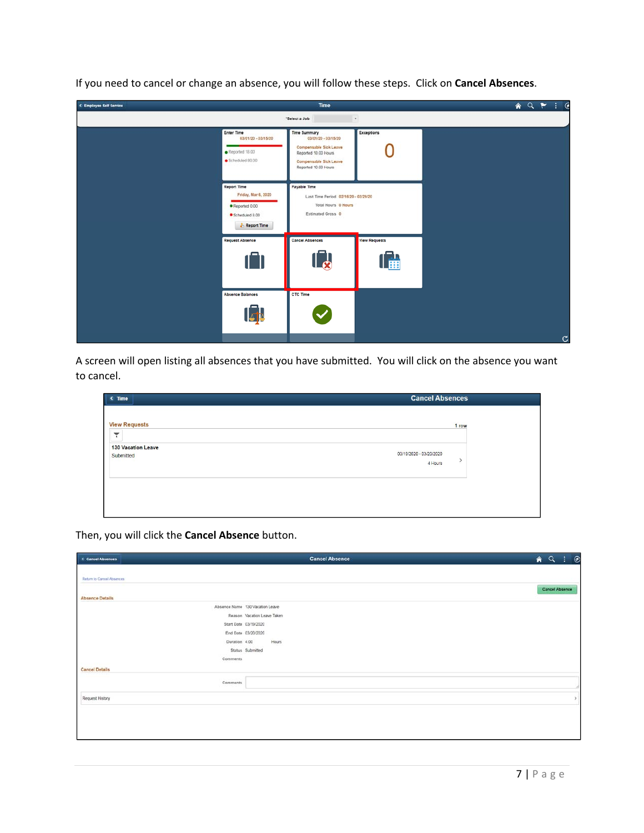| <b>C</b> Employee Self Service |                                                                                             | Time                                                                                                                                           |                                    | AQ P : C     |
|--------------------------------|---------------------------------------------------------------------------------------------|------------------------------------------------------------------------------------------------------------------------------------------------|------------------------------------|--------------|
|                                |                                                                                             | "Select a Job                                                                                                                                  | $^\ast$                            |              |
|                                | Enter Time<br>03/01/20 - 03/15/20<br>Reported 18.00<br>Scheduled 80.00                      | <b>Time Summary</b><br>03/01/20 - 03/15/20<br>Compensable Sick Leave<br>Reported 18.00 Hours<br>Compensable Sick Leave<br>Reported 10.00 Hours | Exceptions                         |              |
|                                | <b>Report Time</b><br>Friday, Mar 6, 2020<br>Reported 0.00<br>Scheduled 8.00<br>Report Time | Payable Time<br>Last Time Period 02/16/20 - 02/29/20<br>Total Hours 0 Hours<br>Estimated Gross 0                                               |                                    |              |
|                                | <b>Request Absence</b><br>ſN                                                                | <b>Cancel Absences</b><br>$\mathbb{L}_{\Omega}$                                                                                                | <b>View Requests</b><br><b>THE</b> |              |
|                                | <b>Absence Balances</b>                                                                     | CTC Time                                                                                                                                       |                                    |              |
|                                |                                                                                             |                                                                                                                                                |                                    | $\mathbf{C}$ |

If you need to cancel or change an absence, you will follow these steps. Click on **Cancel Absences**.

A screen will open listing all absences that you have submitted. You will click on the absence you want to cancel.

| <b>View Requests</b><br>▼<br>٠                                        | 1 row |  |
|-----------------------------------------------------------------------|-------|--|
| 130 Vacation Leave<br>03/19/2020 - 03/20/2020<br>Submitted<br>4 Hours |       |  |

**Cancel Absence**  $A Q : Q$ Cancel Absences Return to Cancel Absences Cancel Absence **Absence Details** Absence Name 130 Vacation Leave Reason Vacation Leave Taken Start Date 03/19/2020 End Date 03/20/2020 Duration 4.00 Hours Status Submitted Comments **Cancel Details**  $Comments$ Request History

Then, you will click the **Cancel Absence** button.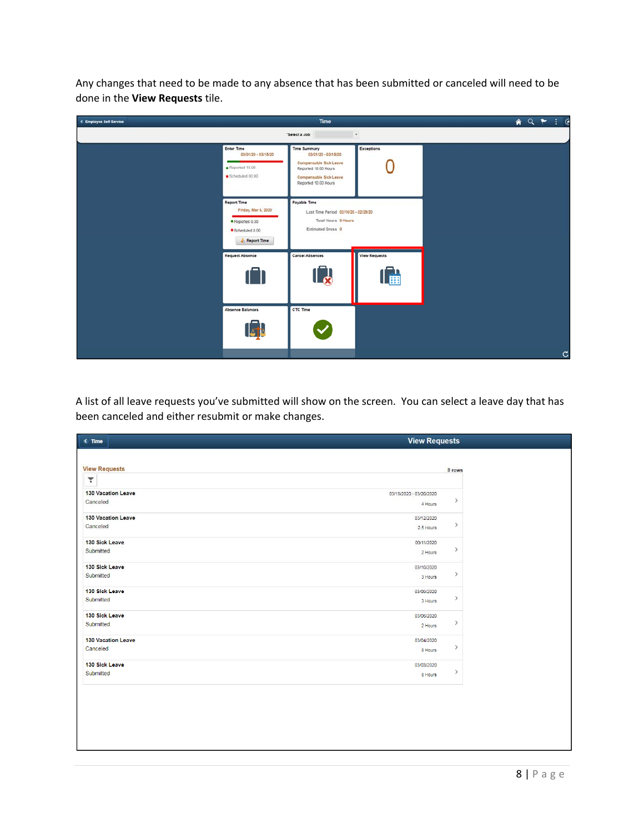Any changes that need to be made to any absence that has been submitted or canceled will need to be done in the **View Requests** tile.

| <b>C</b> Employee Self Service |                                                                                             | Time                                                                                                                                           |                           | $\bullet Q \upharpoonright \vdash @$ |              |
|--------------------------------|---------------------------------------------------------------------------------------------|------------------------------------------------------------------------------------------------------------------------------------------------|---------------------------|--------------------------------------|--------------|
|                                |                                                                                             | "Select a Job                                                                                                                                  | $\star$                   |                                      |              |
|                                | Enter Time<br>03/01/20 - 03/15/20<br>Reported 18.00<br>Scheduled 80.00                      | <b>Time Summary</b><br>03/01/20 - 03/15/20<br>Compensable Sick Leave<br>Reported 18.00 Hours<br>Compensable Sick Leave<br>Reported 10.00 Hours | <b>Exceptions</b>         |                                      |              |
|                                | <b>Report Time</b><br>Friday, Mar 6, 2020<br>Reported 0.00<br>Scheduled 8.00<br>Report Time | Payable Time<br>Last Time Period 02/16/20 - 02/29/20<br>Total Hours 0 Hours<br>Estimated Gross 0                                               |                           |                                      |              |
|                                | <b>Request Absence</b>                                                                      | <b>Cancel Absences</b><br><u>  a</u>                                                                                                           | <b>View Requests</b><br>圃 |                                      |              |
|                                | <b>Absence Balances</b>                                                                     | CTC Time                                                                                                                                       |                           |                                      | $\mathbf{C}$ |

A list of all leave requests you've submitted will show on the screen. You can select a leave day that has been canceled and either resubmit or make changes.

| $\leq$ Time               | <b>View Requests</b>    |               |  |
|---------------------------|-------------------------|---------------|--|
|                           |                         |               |  |
| <b>View Requests</b>      |                         | 8 rows        |  |
| ۳                         |                         |               |  |
| 130 Vacation Leave        | 03/19/2020 - 03/20/2020 |               |  |
| Canceled                  | 4 Hours                 | $\,$          |  |
| 130 Vacation Leave        | 03/12/2020              |               |  |
| Canceled                  | 2.5 Hours               | $\rightarrow$ |  |
| 130 Sick Leave            | 03/11/2020              |               |  |
| Submitted                 | 2 Hours                 | $\,$          |  |
| 130 Sick Leave            | 03/10/2020              | $\,$          |  |
| Submitted                 | 3 Hours                 |               |  |
| 130 Sick Leave            | 03/09/2020              | $\rightarrow$ |  |
| Submitted                 | 3 Hours                 |               |  |
| 130 Sick Leave            | 03/06/2020              |               |  |
| Submitted                 | 2 Hours                 | $\rightarrow$ |  |
| <b>130 Vacation Leave</b> | 03/04/2020              |               |  |
| Canceled                  | 8 Hours                 | $\,$          |  |
| 130 Sick Leave            | 03/03/2020              |               |  |
| Submitted                 | 8 Hours                 | $\,$          |  |
|                           |                         |               |  |
|                           |                         |               |  |
|                           |                         |               |  |
|                           |                         |               |  |
|                           |                         |               |  |
|                           |                         |               |  |